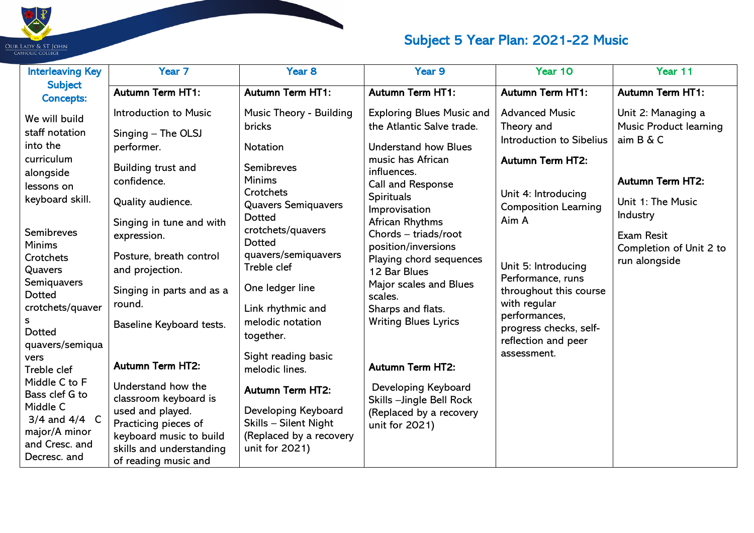

| <b>Interleaving Key</b>                                                                                                                                                                                                                                                                   | Year <sub>7</sub>                                                                                                                                                                                                                                                                                                                 | Year <sub>8</sub>                                                                                                                                                                                                                                                                                                  | Year 9                                                                                                                                                                                                                                                                                                      | Year 10                                                                                                                                                             | Year 11                                                                                                                      |
|-------------------------------------------------------------------------------------------------------------------------------------------------------------------------------------------------------------------------------------------------------------------------------------------|-----------------------------------------------------------------------------------------------------------------------------------------------------------------------------------------------------------------------------------------------------------------------------------------------------------------------------------|--------------------------------------------------------------------------------------------------------------------------------------------------------------------------------------------------------------------------------------------------------------------------------------------------------------------|-------------------------------------------------------------------------------------------------------------------------------------------------------------------------------------------------------------------------------------------------------------------------------------------------------------|---------------------------------------------------------------------------------------------------------------------------------------------------------------------|------------------------------------------------------------------------------------------------------------------------------|
| <b>Subject</b><br><b>Concepts:</b>                                                                                                                                                                                                                                                        | <b>Autumn Term HT1:</b>                                                                                                                                                                                                                                                                                                           | <b>Autumn Term HT1:</b>                                                                                                                                                                                                                                                                                            | <b>Autumn Term HT1:</b>                                                                                                                                                                                                                                                                                     | <b>Autumn Term HT1:</b>                                                                                                                                             | <b>Autumn Term HT1:</b>                                                                                                      |
| We will build<br>staff notation<br>into the<br>curriculum<br>alongside<br>lessons on<br>keyboard skill.                                                                                                                                                                                   | Introduction to Music<br>Singing - The OLSJ<br>performer.<br>Building trust and<br>confidence.<br>Quality audience.<br>Singing in tune and with                                                                                                                                                                                   | Music Theory - Building<br>bricks<br>Notation<br>Semibreves<br><b>Minims</b><br>Crotchets<br><b>Quavers Semiquavers</b><br><b>Dotted</b>                                                                                                                                                                           | <b>Exploring Blues Music and</b><br>the Atlantic Salve trade.<br><b>Understand how Blues</b><br>music has African<br>influences.<br>Call and Response<br><b>Spirituals</b><br>Improvisation<br>African Rhythms                                                                                              | <b>Advanced Music</b><br>Theory and<br>Introduction to Sibelius<br><b>Autumn Term HT2:</b><br>Unit 4: Introducing<br><b>Composition Learning</b><br>Aim A           | Unit 2: Managing a<br><b>Music Product learning</b><br>aim B & C<br><b>Autumn Term HT2:</b><br>Unit 1: The Music<br>Industry |
| Semibreves<br><b>Minims</b><br>Crotchets<br>Quavers<br>Semiquavers<br><b>Dotted</b><br>crotchets/quaver<br><b>Dotted</b><br>quavers/semiqua<br>vers<br>Treble clef<br>Middle C to F<br>Bass clef G to<br>Middle C<br>$3/4$ and $4/4$ C<br>major/A minor<br>and Cresc. and<br>Decresc. and | expression.<br>Posture, breath control<br>and projection.<br>Singing in parts and as a<br>round.<br>Baseline Keyboard tests.<br><b>Autumn Term HT2:</b><br>Understand how the<br>classroom keyboard is<br>used and played.<br>Practicing pieces of<br>keyboard music to build<br>skills and understanding<br>of reading music and | crotchets/quavers<br><b>Dotted</b><br>quavers/semiquavers<br>Treble clef<br>One ledger line<br>Link rhythmic and<br>melodic notation<br>together.<br>Sight reading basic<br>melodic lines.<br><b>Autumn Term HT2:</b><br>Developing Keyboard<br>Skills - Silent Night<br>(Replaced by a recovery<br>unit for 2021) | Chords - triads/root<br>position/inversions<br>Playing chord sequences<br>12 Bar Blues<br>Major scales and Blues<br>scales.<br>Sharps and flats.<br><b>Writing Blues Lyrics</b><br><b>Autumn Term HT2:</b><br>Developing Keyboard<br>Skills - Jingle Bell Rock<br>(Replaced by a recovery<br>unit for 2021) | Unit 5: Introducing<br>Performance, runs<br>throughout this course<br>with regular<br>performances,<br>progress checks, self-<br>reflection and peer<br>assessment. | <b>Exam Resit</b><br>Completion of Unit 2 to<br>run alongside                                                                |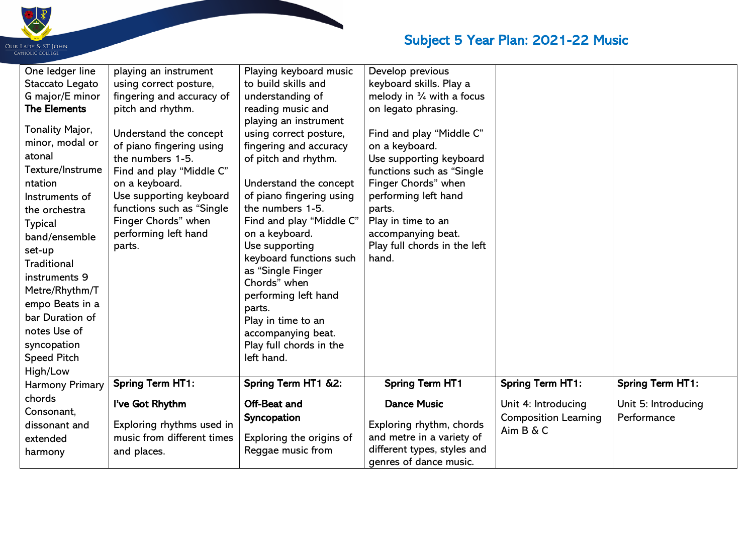

| One ledger line<br>Staccato Legato<br>G major/E minor<br><b>The Elements</b><br>Tonality Major,<br>minor, modal or<br>atonal<br>Texture/Instrume<br>ntation<br>Instruments of<br>the orchestra<br><b>Typical</b><br>band/ensemble<br>set-up<br>Traditional<br>instruments 9<br>Metre/Rhythm/T<br>empo Beats in a<br>bar Duration of<br>notes Use of<br>syncopation<br><b>Speed Pitch</b><br>High/Low | playing an instrument<br>using correct posture,<br>fingering and accuracy of<br>pitch and rhythm.<br>Understand the concept<br>of piano fingering using<br>the numbers 1-5.<br>Find and play "Middle C"<br>on a keyboard.<br>Use supporting keyboard<br>functions such as "Single<br>Finger Chords" when<br>performing left hand<br>parts. | Playing keyboard music<br>to build skills and<br>understanding of<br>reading music and<br>playing an instrument<br>using correct posture,<br>fingering and accuracy<br>of pitch and rhythm.<br>Understand the concept<br>of piano fingering using<br>the numbers 1-5.<br>Find and play "Middle C"<br>on a keyboard.<br>Use supporting<br>keyboard functions such<br>as "Single Finger<br>Chords" when<br>performing left hand<br>parts.<br>Play in time to an<br>accompanying beat.<br>Play full chords in the<br>left hand. | Develop previous<br>keyboard skills. Play a<br>melody in $\frac{3}{4}$ with a focus<br>on legato phrasing.<br>Find and play "Middle C"<br>on a keyboard.<br>Use supporting keyboard<br>functions such as "Single"<br>Finger Chords" when<br>performing left hand<br>parts.<br>Play in time to an<br>accompanying beat.<br>Play full chords in the left<br>hand. |                                                                 |                                    |
|------------------------------------------------------------------------------------------------------------------------------------------------------------------------------------------------------------------------------------------------------------------------------------------------------------------------------------------------------------------------------------------------------|--------------------------------------------------------------------------------------------------------------------------------------------------------------------------------------------------------------------------------------------------------------------------------------------------------------------------------------------|------------------------------------------------------------------------------------------------------------------------------------------------------------------------------------------------------------------------------------------------------------------------------------------------------------------------------------------------------------------------------------------------------------------------------------------------------------------------------------------------------------------------------|-----------------------------------------------------------------------------------------------------------------------------------------------------------------------------------------------------------------------------------------------------------------------------------------------------------------------------------------------------------------|-----------------------------------------------------------------|------------------------------------|
| <b>Harmony Primary</b>                                                                                                                                                                                                                                                                                                                                                                               | <b>Spring Term HT1:</b>                                                                                                                                                                                                                                                                                                                    | Spring Term HT1 &2:                                                                                                                                                                                                                                                                                                                                                                                                                                                                                                          | <b>Spring Term HT1</b>                                                                                                                                                                                                                                                                                                                                          | <b>Spring Term HT1:</b>                                         | <b>Spring Term HT1:</b>            |
| chords<br>Consonant,<br>dissonant and<br>extended<br>harmony                                                                                                                                                                                                                                                                                                                                         | I've Got Rhythm<br>Exploring rhythms used in<br>music from different times<br>and places.                                                                                                                                                                                                                                                  | Off-Beat and<br>Syncopation<br>Exploring the origins of<br>Reggae music from                                                                                                                                                                                                                                                                                                                                                                                                                                                 | <b>Dance Music</b><br>Exploring rhythm, chords<br>and metre in a variety of<br>different types, styles and<br>genres of dance music.                                                                                                                                                                                                                            | Unit 4: Introducing<br><b>Composition Learning</b><br>Aim B & C | Unit 5: Introducing<br>Performance |

 $\mathbf{L}$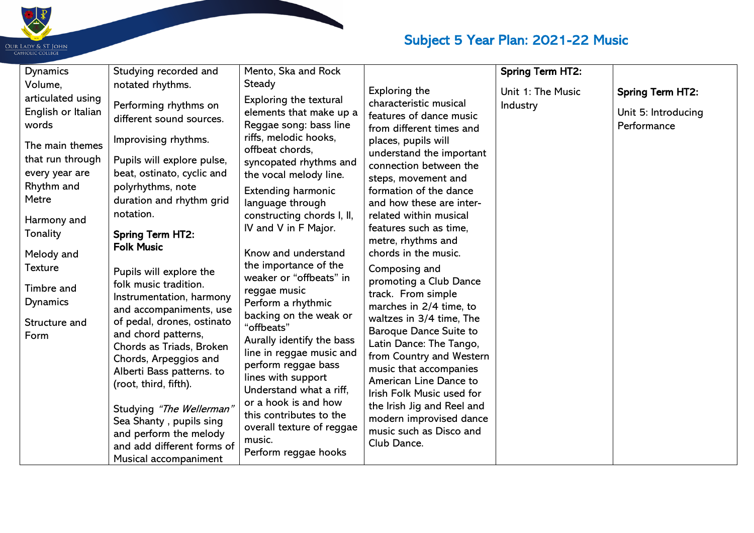

| <b>Dynamics</b>                                                                                                                                                   | Studying recorded and                                                                                                                                                                                                                                                                                     | Mento, Ska and Rock                                                                                                                                                                                                                                                                                                  |                                                                                                                                                                                                                                                                                                                                                                                  | <b>Spring Term HT2:</b> |                                    |
|-------------------------------------------------------------------------------------------------------------------------------------------------------------------|-----------------------------------------------------------------------------------------------------------------------------------------------------------------------------------------------------------------------------------------------------------------------------------------------------------|----------------------------------------------------------------------------------------------------------------------------------------------------------------------------------------------------------------------------------------------------------------------------------------------------------------------|----------------------------------------------------------------------------------------------------------------------------------------------------------------------------------------------------------------------------------------------------------------------------------------------------------------------------------------------------------------------------------|-------------------------|------------------------------------|
| Volume,                                                                                                                                                           | notated rhythms.                                                                                                                                                                                                                                                                                          | <b>Steady</b>                                                                                                                                                                                                                                                                                                        | <b>Exploring the</b>                                                                                                                                                                                                                                                                                                                                                             | Unit 1: The Music       | <b>Spring Term HT2:</b>            |
| articulated using<br>English or Italian<br>words                                                                                                                  | Performing rhythms on<br>different sound sources.                                                                                                                                                                                                                                                         | Exploring the textural<br>elements that make up a<br>Reggae song: bass line                                                                                                                                                                                                                                          | characteristic musical<br>features of dance music                                                                                                                                                                                                                                                                                                                                | Industry                | Unit 5: Introducing<br>Performance |
| The main themes<br>that run through<br>every year are<br>Rhythm and<br>Metre<br>Harmony and<br>Tonality<br>Melody and<br>Texture<br><b>Timbre and</b><br>Dynamics | Improvising rhythms.<br>Pupils will explore pulse,<br>beat, ostinato, cyclic and<br>polyrhythms, note<br>duration and rhythm grid<br>notation.<br><b>Spring Term HT2:</b><br><b>Folk Music</b><br>Pupils will explore the<br>folk music tradition.<br>Instrumentation, harmony<br>and accompaniments, use | riffs, melodic hooks,<br>offbeat chords,<br>syncopated rhythms and<br>the vocal melody line.<br><b>Extending harmonic</b><br>language through<br>constructing chords I, II,<br>IV and V in F Major.<br>Know and understand<br>the importance of the<br>weaker or "offbeats" in<br>reggae music<br>Perform a rhythmic | from different times and<br>places, pupils will<br>understand the important<br>connection between the<br>steps, movement and<br>formation of the dance<br>and how these are inter-<br>related within musical<br>features such as time,<br>metre, rhythms and<br>chords in the music.<br>Composing and<br>promoting a Club Dance<br>track. From simple<br>marches in 2/4 time, to |                         |                                    |
| Structure and<br>Form                                                                                                                                             | of pedal, drones, ostinato<br>and chord patterns,<br>Chords as Triads, Broken<br>Chords, Arpeggios and<br>Alberti Bass patterns. to<br>(root, third, fifth).<br>Studying "The Wellerman"<br>Sea Shanty, pupils sing<br>and perform the melody<br>and add different forms of<br>Musical accompaniment      | backing on the weak or<br>"offbeats"<br>Aurally identify the bass<br>line in reggae music and<br>perform reggae bass<br>lines with support<br>Understand what a riff,<br>or a hook is and how<br>this contributes to the<br>overall texture of reggae<br>music.<br>Perform reggae hooks                              | waltzes in 3/4 time, The<br><b>Baroque Dance Suite to</b><br>Latin Dance: The Tango,<br>from Country and Western<br>music that accompanies<br>American Line Dance to<br>Irish Folk Music used for<br>the Irish Jig and Reel and<br>modern improvised dance<br>music such as Disco and<br>Club Dance.                                                                             |                         |                                    |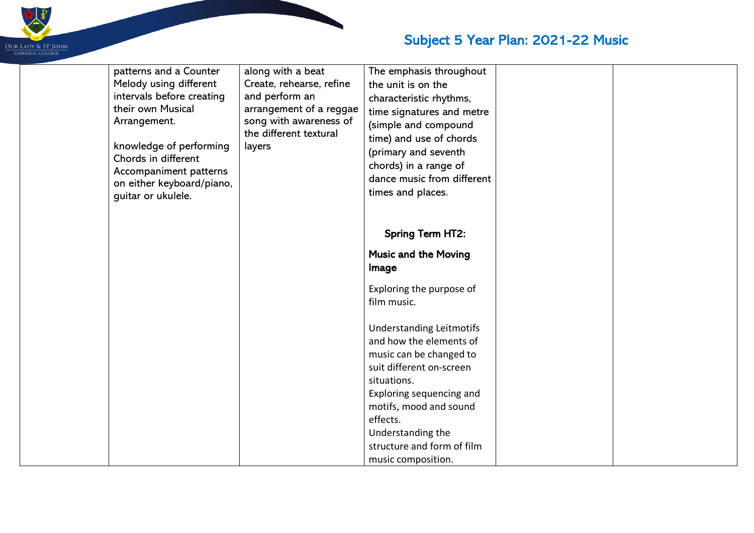

| patterns and a Counter<br>Melody using different<br>intervals before creating<br>their own Musical<br>Arrangement.<br>knowledge of performing<br>Chords in different<br>Accompaniment patterns<br>on either keyboard/piano,<br>guitar or ukulele. | along with a beat<br>Create, rehearse, refine<br>and perform an<br>arrangement of a reggae<br>song with awareness of<br>the different textural<br>layers | The emphasis throughout<br>the unit is on the<br>characteristic rhythms,<br>time signatures and metre<br>(simple and compound<br>time) and use of chords<br>(primary and seventh<br>chords) in a range of<br>dance music from different<br>times and places.                |  |
|---------------------------------------------------------------------------------------------------------------------------------------------------------------------------------------------------------------------------------------------------|----------------------------------------------------------------------------------------------------------------------------------------------------------|-----------------------------------------------------------------------------------------------------------------------------------------------------------------------------------------------------------------------------------------------------------------------------|--|
|                                                                                                                                                                                                                                                   |                                                                                                                                                          | <b>Spring Term HT2:</b>                                                                                                                                                                                                                                                     |  |
|                                                                                                                                                                                                                                                   |                                                                                                                                                          | <b>Music and the Moving</b><br>Image                                                                                                                                                                                                                                        |  |
|                                                                                                                                                                                                                                                   |                                                                                                                                                          | Exploring the purpose of<br>film music.                                                                                                                                                                                                                                     |  |
|                                                                                                                                                                                                                                                   |                                                                                                                                                          | <b>Understanding Leitmotifs</b><br>and how the elements of<br>music can be changed to<br>suit different on-screen<br>situations.<br>Exploring sequencing and<br>motifs, mood and sound<br>effects.<br>Understanding the<br>structure and form of film<br>music composition. |  |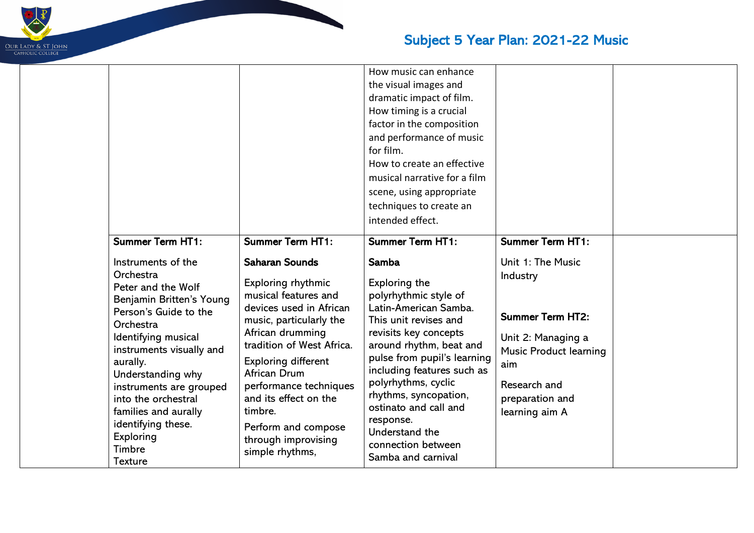

|                                                                                                                                                                                                                                                                                                                                                                                 |                                                                                                                                                                                                                                                                                                                                                                                    | How music can enhance<br>the visual images and<br>dramatic impact of film.<br>How timing is a crucial<br>factor in the composition<br>and performance of music<br>for film.<br>How to create an effective<br>musical narrative for a film<br>scene, using appropriate<br>techniques to create an<br>intended effect.                                                                                            |                                                                                                                                                                                                        |
|---------------------------------------------------------------------------------------------------------------------------------------------------------------------------------------------------------------------------------------------------------------------------------------------------------------------------------------------------------------------------------|------------------------------------------------------------------------------------------------------------------------------------------------------------------------------------------------------------------------------------------------------------------------------------------------------------------------------------------------------------------------------------|-----------------------------------------------------------------------------------------------------------------------------------------------------------------------------------------------------------------------------------------------------------------------------------------------------------------------------------------------------------------------------------------------------------------|--------------------------------------------------------------------------------------------------------------------------------------------------------------------------------------------------------|
| <b>Summer Term HT1:</b><br>Instruments of the<br>Orchestra<br>Peter and the Wolf<br>Benjamin Britten's Young<br>Person's Guide to the<br>Orchestra<br>Identifying musical<br>instruments visually and<br>aurally.<br>Understanding why<br>instruments are grouped<br>into the orchestral<br>families and aurally<br>identifying these.<br>Exploring<br>Timbre<br><b>Texture</b> | <b>Summer Term HT1:</b><br><b>Saharan Sounds</b><br><b>Exploring rhythmic</b><br>musical features and<br>devices used in African<br>music, particularly the<br>African drumming<br>tradition of West Africa.<br>Exploring different<br>African Drum<br>performance techniques<br>and its effect on the<br>timbre.<br>Perform and compose<br>through improvising<br>simple rhythms, | <b>Summer Term HT1:</b><br><b>Samba</b><br><b>Exploring the</b><br>polyrhythmic style of<br>Latin-American Samba.<br>This unit revises and<br>revisits key concepts<br>around rhythm, beat and<br>pulse from pupil's learning<br>including features such as<br>polyrhythms, cyclic<br>rhythms, syncopation,<br>ostinato and call and<br>response.<br>Understand the<br>connection between<br>Samba and carnival | <b>Summer Term HT1:</b><br>Unit 1: The Music<br>Industry<br><b>Summer Term HT2:</b><br>Unit 2: Managing a<br><b>Music Product learning</b><br>aim<br>Research and<br>preparation and<br>learning aim A |

 $\mathbf{L}$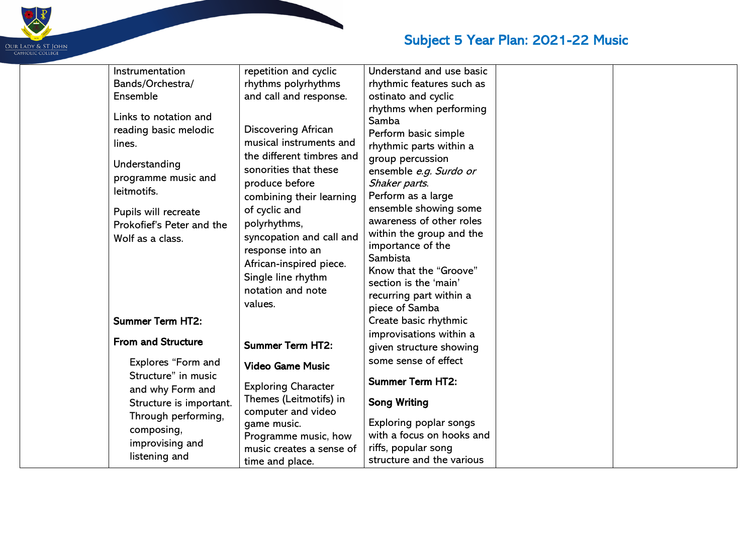

| Instrumentation           | repetition and cyclic      | Understand and use basic  |  |
|---------------------------|----------------------------|---------------------------|--|
| Bands/Orchestra/          | rhythms polyrhythms        | rhythmic features such as |  |
| Ensemble                  | and call and response.     | ostinato and cyclic       |  |
|                           |                            | rhythms when performing   |  |
| Links to notation and     |                            | Samba                     |  |
| reading basic melodic     | <b>Discovering African</b> | Perform basic simple      |  |
| lines.                    | musical instruments and    | rhythmic parts within a   |  |
| Understanding             | the different timbres and  | group percussion          |  |
|                           | sonorities that these      | ensemble e.g. Surdo or    |  |
| programme music and       | produce before             | Shaker parts.             |  |
| leitmotifs.               | combining their learning   | Perform as a large        |  |
| Pupils will recreate      | of cyclic and              | ensemble showing some     |  |
| Prokofief's Peter and the | polyrhythms,               | awareness of other roles  |  |
| Wolf as a class.          | syncopation and call and   | within the group and the  |  |
|                           | response into an           | importance of the         |  |
|                           | African-inspired piece.    | Sambista                  |  |
|                           | Single line rhythm         | Know that the "Groove"    |  |
|                           | notation and note          | section is the 'main'     |  |
|                           | values.                    | recurring part within a   |  |
|                           |                            | piece of Samba            |  |
| <b>Summer Term HT2:</b>   |                            | Create basic rhythmic     |  |
| <b>From and Structure</b> |                            | improvisations within a   |  |
|                           | <b>Summer Term HT2:</b>    | given structure showing   |  |
| Explores "Form and        | <b>Video Game Music</b>    | some sense of effect      |  |
| Structure" in music       |                            | <b>Summer Term HT2:</b>   |  |
| and why Form and          | <b>Exploring Character</b> |                           |  |
| Structure is important.   | Themes (Leitmotifs) in     | <b>Song Writing</b>       |  |
| Through performing,       | computer and video         |                           |  |
| composing,                | game music.                | Exploring poplar songs    |  |
| improvising and           | Programme music, how       | with a focus on hooks and |  |
| listening and             | music creates a sense of   | riffs, popular song       |  |
|                           | time and place.            | structure and the various |  |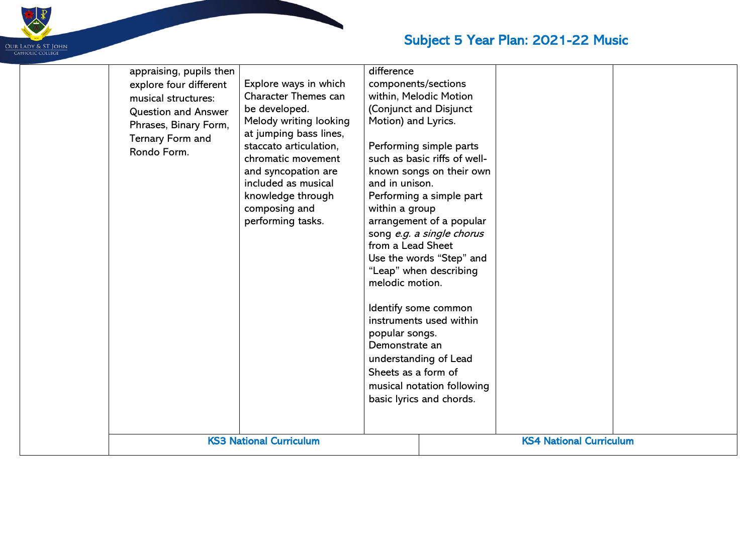

| appraising, pupils then<br>explore four different<br>musical structures:<br><b>Question and Answer</b><br>Phrases, Binary Form,<br>Ternary Form and<br>Rondo Form. | Explore ways in which<br><b>Character Themes can</b><br>be developed.<br>Melody writing looking<br>at jumping bass lines,<br>staccato articulation,<br>chromatic movement<br>and syncopation are<br>included as musical<br>knowledge through<br>composing and<br>performing tasks. | difference<br>components/sections<br>within, Melodic Motion<br>(Conjunct and Disjunct<br>Motion) and Lyrics.<br>Performing simple parts<br>such as basic riffs of well-<br>known songs on their own<br>and in unison.<br>Performing a simple part<br>within a group<br>arrangement of a popular<br>song e.g. a single chorus<br>from a Lead Sheet<br>Use the words "Step" and<br>"Leap" when describing<br>melodic motion.<br>Identify some common<br>instruments used within<br>popular songs.<br>Demonstrate an<br>understanding of Lead<br>Sheets as a form of<br>musical notation following<br>basic lyrics and chords. |  | <b>KS4 National Curriculum</b> |  |
|--------------------------------------------------------------------------------------------------------------------------------------------------------------------|------------------------------------------------------------------------------------------------------------------------------------------------------------------------------------------------------------------------------------------------------------------------------------|-----------------------------------------------------------------------------------------------------------------------------------------------------------------------------------------------------------------------------------------------------------------------------------------------------------------------------------------------------------------------------------------------------------------------------------------------------------------------------------------------------------------------------------------------------------------------------------------------------------------------------|--|--------------------------------|--|
|                                                                                                                                                                    | <b>KS3 National Curriculum</b>                                                                                                                                                                                                                                                     |                                                                                                                                                                                                                                                                                                                                                                                                                                                                                                                                                                                                                             |  |                                |  |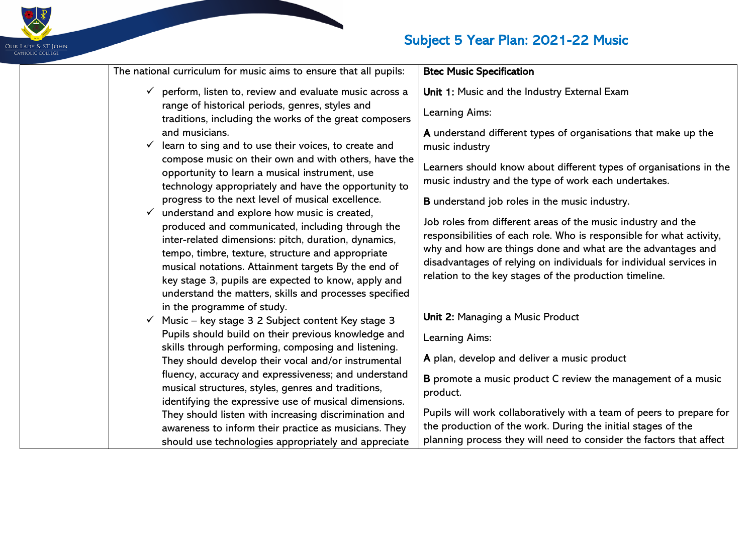# OUR LADY & ST JOHN<br>CAHOLIC COLLEGE

| The national curriculum for music aims to ensure that all pupils:                                                                                                                                                                                                                                                                                                                     | <b>Btec Music Specification</b>                                                                                                                                                                                                                                                                                                     |
|---------------------------------------------------------------------------------------------------------------------------------------------------------------------------------------------------------------------------------------------------------------------------------------------------------------------------------------------------------------------------------------|-------------------------------------------------------------------------------------------------------------------------------------------------------------------------------------------------------------------------------------------------------------------------------------------------------------------------------------|
| $\checkmark$ perform, listen to, review and evaluate music across a<br>range of historical periods, genres, styles and<br>traditions, including the works of the great composers                                                                                                                                                                                                      | Unit 1: Music and the Industry External Exam<br>Learning Aims:                                                                                                                                                                                                                                                                      |
| and musicians.<br>learn to sing and to use their voices, to create and                                                                                                                                                                                                                                                                                                                | A understand different types of organisations that make up the<br>music industry                                                                                                                                                                                                                                                    |
| compose music on their own and with others, have the<br>opportunity to learn a musical instrument, use<br>technology appropriately and have the opportunity to                                                                                                                                                                                                                        | Learners should know about different types of organisations in the<br>music industry and the type of work each undertakes.                                                                                                                                                                                                          |
| progress to the next level of musical excellence.                                                                                                                                                                                                                                                                                                                                     | <b>B</b> understand job roles in the music industry.                                                                                                                                                                                                                                                                                |
| understand and explore how music is created,<br>produced and communicated, including through the<br>inter-related dimensions: pitch, duration, dynamics,<br>tempo, timbre, texture, structure and appropriate<br>musical notations. Attainment targets By the end of<br>key stage 3, pupils are expected to know, apply and<br>understand the matters, skills and processes specified | Job roles from different areas of the music industry and the<br>responsibilities of each role. Who is responsible for what activity,<br>why and how are things done and what are the advantages and<br>disadvantages of relying on individuals for individual services in<br>relation to the key stages of the production timeline. |
| in the programme of study.<br>Music - key stage 3 2 Subject content Key stage 3                                                                                                                                                                                                                                                                                                       | Unit 2: Managing a Music Product                                                                                                                                                                                                                                                                                                    |
| Pupils should build on their previous knowledge and                                                                                                                                                                                                                                                                                                                                   | Learning Aims:                                                                                                                                                                                                                                                                                                                      |
| skills through performing, composing and listening.<br>They should develop their vocal and/or instrumental                                                                                                                                                                                                                                                                            | A plan, develop and deliver a music product                                                                                                                                                                                                                                                                                         |
| fluency, accuracy and expressiveness; and understand<br>musical structures, styles, genres and traditions,<br>identifying the expressive use of musical dimensions.                                                                                                                                                                                                                   | B promote a music product C review the management of a music<br>product.                                                                                                                                                                                                                                                            |
| They should listen with increasing discrimination and                                                                                                                                                                                                                                                                                                                                 | Pupils will work collaboratively with a team of peers to prepare for                                                                                                                                                                                                                                                                |
| awareness to inform their practice as musicians. They<br>should use technologies appropriately and appreciate                                                                                                                                                                                                                                                                         | the production of the work. During the initial stages of the<br>planning process they will need to consider the factors that affect                                                                                                                                                                                                 |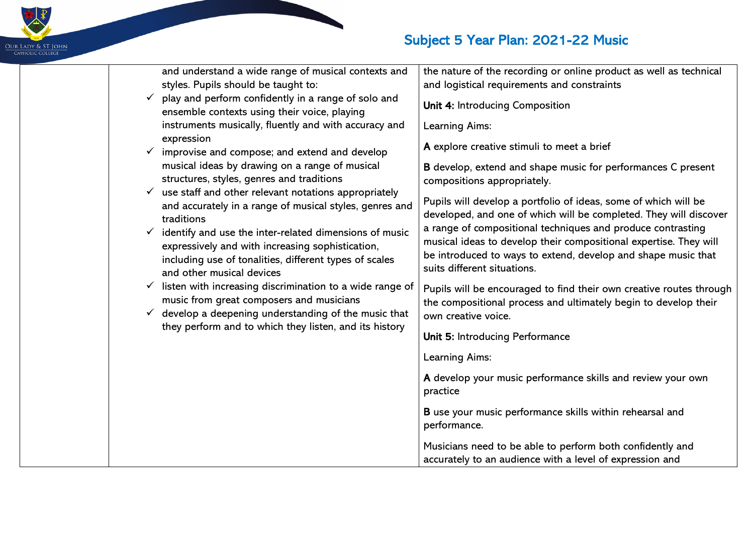| and understand a wide range of musical contexts and<br>styles. Pupils should be taught to:                                                                                                                     | the nature of the recording or online product as well as technical<br>and logistical requirements and constraints                                                                                   |
|----------------------------------------------------------------------------------------------------------------------------------------------------------------------------------------------------------------|-----------------------------------------------------------------------------------------------------------------------------------------------------------------------------------------------------|
| $\checkmark$ play and perform confidently in a range of solo and<br>ensemble contexts using their voice, playing                                                                                               | Unit 4: Introducing Composition                                                                                                                                                                     |
| instruments musically, fluently and with accuracy and<br>expression                                                                                                                                            | Learning Aims:                                                                                                                                                                                      |
| $\checkmark$ improvise and compose; and extend and develop                                                                                                                                                     | A explore creative stimuli to meet a brief                                                                                                                                                          |
| musical ideas by drawing on a range of musical<br>structures, styles, genres and traditions                                                                                                                    | B develop, extend and shape music for performances C present<br>compositions appropriately.                                                                                                         |
| $\checkmark$ use staff and other relevant notations appropriately<br>and accurately in a range of musical styles, genres and<br>traditions                                                                     | Pupils will develop a portfolio of ideas, some of which will be<br>developed, and one of which will be completed. They will discover<br>a range of compositional techniques and produce contrasting |
| $\checkmark$ identify and use the inter-related dimensions of music<br>expressively and with increasing sophistication,<br>including use of tonalities, different types of scales<br>and other musical devices | musical ideas to develop their compositional expertise. They will<br>be introduced to ways to extend, develop and shape music that<br>suits different situations.                                   |
| listen with increasing discrimination to a wide range of<br>$\checkmark$<br>music from great composers and musicians<br>$\checkmark$ develop a deepening understanding of the music that                       | Pupils will be encouraged to find their own creative routes through<br>the compositional process and ultimately begin to develop their<br>own creative voice.                                       |
| they perform and to which they listen, and its history                                                                                                                                                         | Unit 5: Introducing Performance                                                                                                                                                                     |
|                                                                                                                                                                                                                | Learning Aims:                                                                                                                                                                                      |
|                                                                                                                                                                                                                | A develop your music performance skills and review your own<br>practice                                                                                                                             |
|                                                                                                                                                                                                                | <b>B</b> use your music performance skills within rehearsal and<br>performance.                                                                                                                     |
|                                                                                                                                                                                                                | Musicians need to be able to perform both confidently and<br>accurately to an audience with a level of expression and                                                                               |